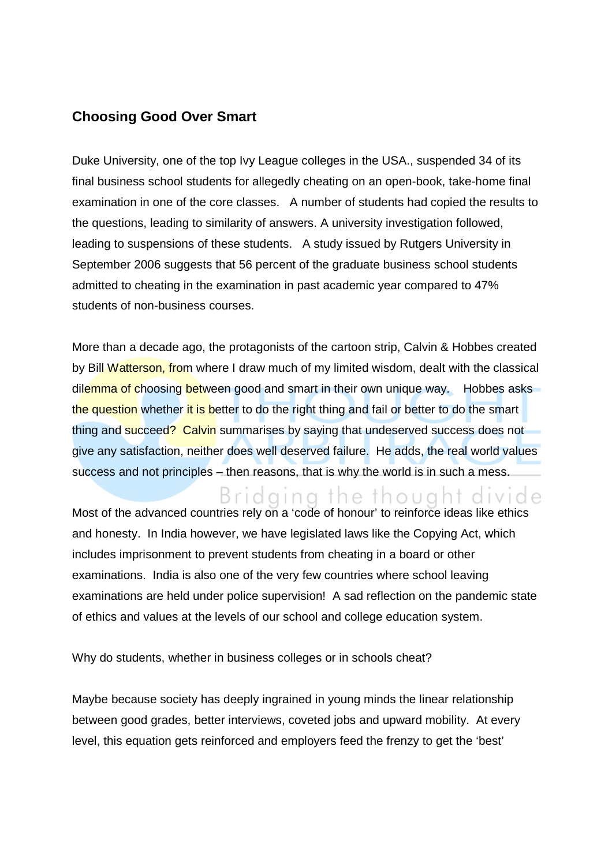## **Choosing Good Over Smart**

Duke University, one of the top Ivy League colleges in the USA., suspended 34 of its final business school students for allegedly cheating on an open-book, take-home final examination in one of the core classes. A number of students had copied the results to the questions, leading to similarity of answers. A university investigation followed, leading to suspensions of these students. A study issued by Rutgers University in September 2006 suggests that 56 percent of the graduate business school students admitted to cheating in the examination in past academic year compared to 47% students of non-business courses.

More than a decade ago, the protagonists of the cartoon strip, Calvin & Hobbes created by Bill Watterson, from where I draw much of my limited wisdom, dealt with the classical dilemma of choosing between good and smart in their own unique way. Hobbes asks the question whether it is better to do the right thing and fail or better to do the smart thing and succeed? Calvin summarises by saying that undeserved success does not give any satisfaction, neither does well deserved failure. He adds, the real world values success and not principles – then reasons, that is why the world is in such a mess.

Bridging the thought divide

Most of the advanced countries rely on a 'code of honour' to reinforce ideas like ethics and honesty. In India however, we have legislated laws like the Copying Act, which includes imprisonment to prevent students from cheating in a board or other examinations. India is also one of the very few countries where school leaving examinations are held under police supervision! A sad reflection on the pandemic state of ethics and values at the levels of our school and college education system.

Why do students, whether in business colleges or in schools cheat?

Maybe because society has deeply ingrained in young minds the linear relationship between good grades, better interviews, coveted jobs and upward mobility. At every level, this equation gets reinforced and employers feed the frenzy to get the 'best'